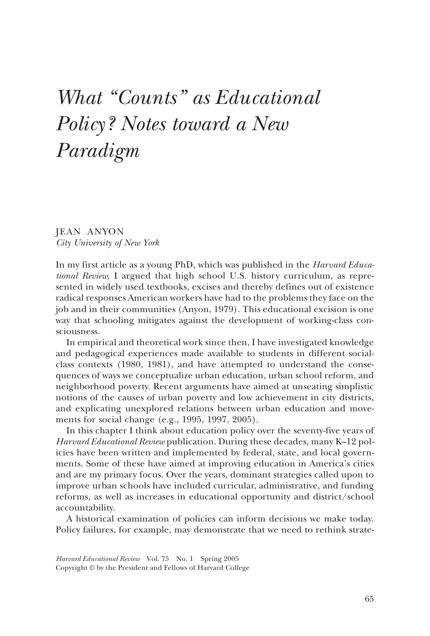# *What "Counts" as Educational Policy? Notes toward a New Paradigm*

JEAN ANYON *City University of New York*

In my first article as a young PhD, which was published in the *Harvard Educational Review,* I argued that high school U.S. history curriculum, as represented in widely used textbooks, excises and thereby defines out of existence radical responses American workers have had to the problems they face on the job and in their communities (Anyon, 1979). This educational excision is one way that schooling mitigates against the development of working-class consciousness.

In empirical and theoretical work since then, I have investigated knowledge and pedagogical experiences made available to students in different socialclass contexts (1980, 1981), and have attempted to understand the consequences of ways we conceptualize urban education, urban school reform, and neighborhood poverty. Recent arguments have aimed at unseating simplistic notions of the causes of urban poverty and low achievement in city districts, and explicating unexplored relations between urban education and movements for social change (e.g., 1995, 1997, 2005).

In this chapter I think about education policy over the seventy-five years of *Harvard Educational Review* publication. During these decades, many K–12 policies have been written and implemented by federal, state, and local governments. Some of these have aimed at improving education in America's cities and are my primary focus. Over the years, dominant strategies called upon to improve urban schools have included curricular, administrative, and funding reforms, as well as increases in educational opportunity and district/school accountability.

A historical examination of policies can inform decisions we make today. Policy failures, for example, may demonstrate that we need to rethink strate-

*Harvard Educational Review* Vol. 75 No. 1 Spring 2005 Copyright © by the President and Fellows of Harvard College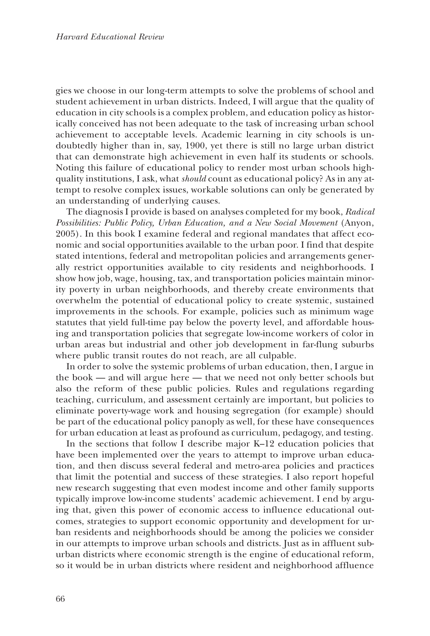gies we choose in our long-term attempts to solve the problems of school and student achievement in urban districts. Indeed, I will argue that the quality of education in city schools is a complex problem, and education policy as historically conceived has not been adequate to the task of increasing urban school achievement to acceptable levels. Academic learning in city schools is undoubtedly higher than in, say, 1900, yet there is still no large urban district that can demonstrate high achievement in even half its students or schools. Noting this failure of educational policy to render most urban schools highquality institutions, I ask, what *should* count as educational policy? As in any attempt to resolve complex issues, workable solutions can only be generated by an understanding of underlying causes.

The diagnosis I provide is based on analyses completed for my book, *Radical Possibilities: Public Policy, Urban Education, and a New Social Movement* (Anyon, 2005). In this book I examine federal and regional mandates that affect economic and social opportunities available to the urban poor. I find that despite stated intentions, federal and metropolitan policies and arrangements generally restrict opportunities available to city residents and neighborhoods. I show how job, wage, housing, tax, and transportation policies maintain minority poverty in urban neighborhoods, and thereby create environments that overwhelm the potential of educational policy to create systemic, sustained improvements in the schools. For example, policies such as minimum wage statutes that yield full-time pay below the poverty level, and affordable housing and transportation policies that segregate low-income workers of color in urban areas but industrial and other job development in far-flung suburbs where public transit routes do not reach, are all culpable.

In order to solve the systemic problems of urban education, then, I argue in the book — and will argue here — that we need not only better schools but also the reform of these public policies. Rules and regulations regarding teaching, curriculum, and assessment certainly are important, but policies to eliminate poverty-wage work and housing segregation (for example) should be part of the educational policy panoply as well, for these have consequences for urban education at least as profound as curriculum, pedagogy, and testing.

In the sections that follow I describe major K–12 education policies that have been implemented over the years to attempt to improve urban education, and then discuss several federal and metro-area policies and practices that limit the potential and success of these strategies. I also report hopeful new research suggesting that even modest income and other family supports typically improve low-income students' academic achievement. I end by arguing that, given this power of economic access to influence educational outcomes, strategies to support economic opportunity and development for urban residents and neighborhoods should be among the policies we consider in our attempts to improve urban schools and districts. Just as in affluent suburban districts where economic strength is the engine of educational reform, so it would be in urban districts where resident and neighborhood affluence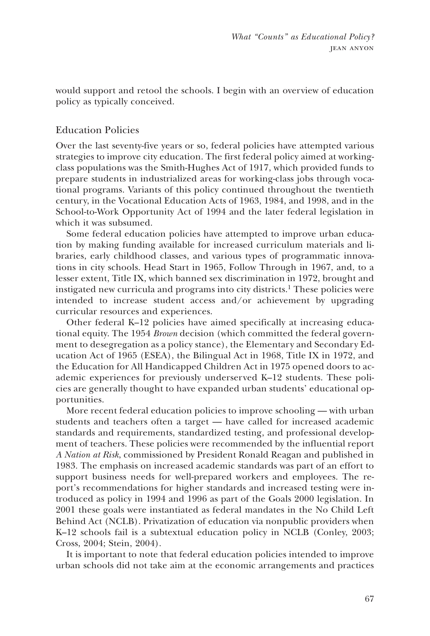would support and retool the schools. I begin with an overview of education policy as typically conceived.

# Education Policies

Over the last seventy-five years or so, federal policies have attempted various strategies to improve city education. The first federal policy aimed at workingclass populations was the Smith-Hughes Act of 1917, which provided funds to prepare students in industrialized areas for working-class jobs through vocational programs. Variants of this policy continued throughout the twentieth century, in the Vocational Education Acts of 1963, 1984, and 1998, and in the School-to-Work Opportunity Act of 1994 and the later federal legislation in which it was subsumed.

Some federal education policies have attempted to improve urban education by making funding available for increased curriculum materials and libraries, early childhood classes, and various types of programmatic innovations in city schools. Head Start in 1965, Follow Through in 1967, and, to a lesser extent, Title IX, which banned sex discrimination in 1972, brought and instigated new curricula and programs into city districts.1 These policies were intended to increase student access and/or achievement by upgrading curricular resources and experiences.

Other federal K–12 policies have aimed specifically at increasing educational equity. The 1954 *Brown* decision (which committed the federal government to desegregation as a policy stance), the Elementary and Secondary Education Act of 1965 (ESEA), the Bilingual Act in 1968, Title IX in 1972, and the Education for All Handicapped Children Act in 1975 opened doors to academic experiences for previously underserved K–12 students. These policies are generally thought to have expanded urban students' educational opportunities.

More recent federal education policies to improve schooling — with urban students and teachers often a target — have called for increased academic standards and requirements, standardized testing, and professional development of teachers. These policies were recommended by the influential report *A Nation at Risk*, commissioned by President Ronald Reagan and published in 1983. The emphasis on increased academic standards was part of an effort to support business needs for well-prepared workers and employees. The report's recommendations for higher standards and increased testing were introduced as policy in 1994 and 1996 as part of the Goals 2000 legislation. In 2001 these goals were instantiated as federal mandates in the No Child Left Behind Act (NCLB). Privatization of education via nonpublic providers when K–12 schools fail is a subtextual education policy in NCLB (Conley, 2003; Cross, 2004; Stein, 2004).

It is important to note that federal education policies intended to improve urban schools did not take aim at the economic arrangements and practices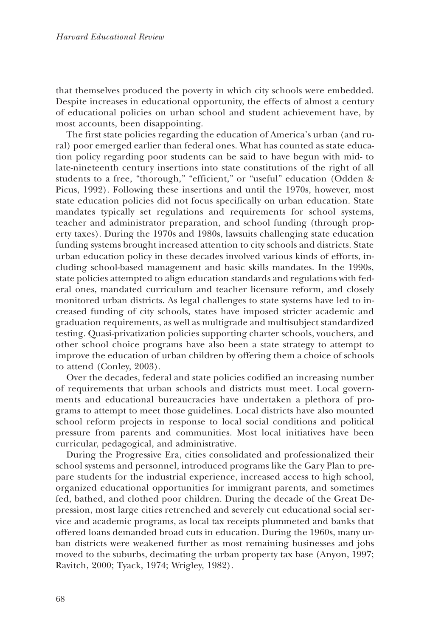that themselves produced the poverty in which city schools were embedded. Despite increases in educational opportunity, the effects of almost a century of educational policies on urban school and student achievement have, by most accounts, been disappointing.

The first state policies regarding the education of America's urban (and rural) poor emerged earlier than federal ones. What has counted as state education policy regarding poor students can be said to have begun with mid- to late-nineteenth century insertions into state constitutions of the right of all students to a free, "thorough," "efficient," or "useful" education (Odden & Picus, 1992). Following these insertions and until the 1970s, however, most state education policies did not focus specifically on urban education. State mandates typically set regulations and requirements for school systems, teacher and administrator preparation, and school funding (through property taxes). During the 1970s and 1980s, lawsuits challenging state education funding systems brought increased attention to city schools and districts. State urban education policy in these decades involved various kinds of efforts, including school-based management and basic skills mandates. In the 1990s, state policies attempted to align education standards and regulations with federal ones, mandated curriculum and teacher licensure reform, and closely monitored urban districts. As legal challenges to state systems have led to increased funding of city schools, states have imposed stricter academic and graduation requirements, as well as multigrade and multisubject standardized testing. Quasi-privatization policies supporting charter schools, vouchers, and other school choice programs have also been a state strategy to attempt to improve the education of urban children by offering them a choice of schools to attend (Conley, 2003).

Over the decades, federal and state policies codified an increasing number of requirements that urban schools and districts must meet. Local governments and educational bureaucracies have undertaken a plethora of programs to attempt to meet those guidelines. Local districts have also mounted school reform projects in response to local social conditions and political pressure from parents and communities. Most local initiatives have been curricular, pedagogical, and administrative.

During the Progressive Era, cities consolidated and professionalized their school systems and personnel, introduced programs like the Gary Plan to prepare students for the industrial experience, increased access to high school, organized educational opportunities for immigrant parents, and sometimes fed, bathed, and clothed poor children. During the decade of the Great Depression, most large cities retrenched and severely cut educational social service and academic programs, as local tax receipts plummeted and banks that offered loans demanded broad cuts in education. During the 1960s, many urban districts were weakened further as most remaining businesses and jobs moved to the suburbs, decimating the urban property tax base (Anyon, 1997; Ravitch, 2000; Tyack, 1974; Wrigley, 1982).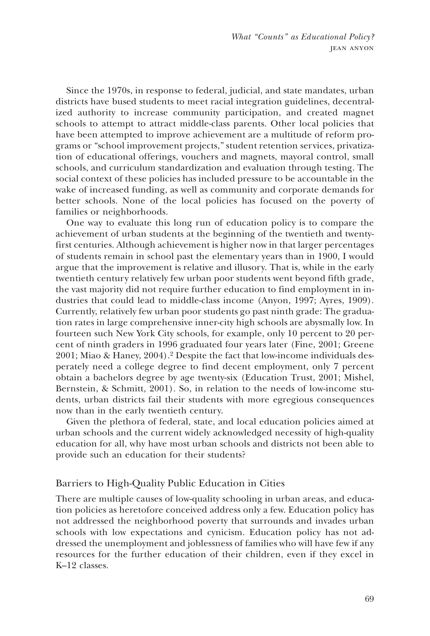Since the 1970s, in response to federal, judicial, and state mandates, urban districts have bused students to meet racial integration guidelines, decentralized authority to increase community participation, and created magnet schools to attempt to attract middle-class parents. Other local policies that have been attempted to improve achievement are a multitude of reform programs or "school improvement projects," student retention services, privatization of educational offerings, vouchers and magnets, mayoral control, small schools, and curriculum standardization and evaluation through testing. The social context of these policies has included pressure to be accountable in the wake of increased funding, as well as community and corporate demands for better schools. None of the local policies has focused on the poverty of families or neighborhoods.

One way to evaluate this long run of education policy is to compare the achievement of urban students at the beginning of the twentieth and twentyfirst centuries. Although achievement is higher now in that larger percentages of students remain in school past the elementary years than in 1900, I would argue that the improvement is relative and illusory. That is, while in the early twentieth century relatively few urban poor students went beyond fifth grade, the vast majority did not require further education to find employment in industries that could lead to middle-class income (Anyon, 1997; Ayres, 1909). Currently, relatively few urban poor students go past ninth grade: The graduation rates in large comprehensive inner-city high schools are abysmally low. In fourteen such New York City schools, for example, only 10 percent to 20 percent of ninth graders in 1996 graduated four years later (Fine, 2001; Greene 2001; Miao & Haney, 2004).<sup>2</sup> Despite the fact that low-income individuals desperately need a college degree to find decent employment, only 7 percent obtain a bachelors degree by age twenty-six (Education Trust, 2001; Mishel, Bernstein, & Schmitt, 2001). So, in relation to the needs of low-income students, urban districts fail their students with more egregious consequences now than in the early twentieth century.

Given the plethora of federal, state, and local education policies aimed at urban schools and the current widely acknowledged necessity of high-quality education for all, why have most urban schools and districts not been able to provide such an education for their students?

#### Barriers to High-Quality Public Education in Cities

There are multiple causes of low-quality schooling in urban areas, and education policies as heretofore conceived address only a few. Education policy has not addressed the neighborhood poverty that surrounds and invades urban schools with low expectations and cynicism. Education policy has not addressed the unemployment and joblessness of families who will have few if any resources for the further education of their children, even if they excel in K–12 classes.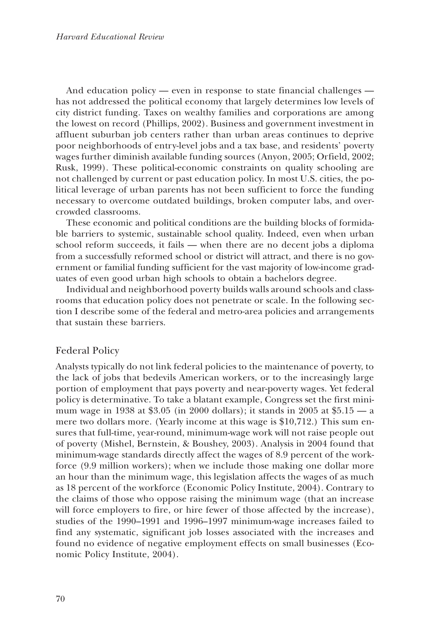And education policy — even in response to state financial challenges has not addressed the political economy that largely determines low levels of city district funding. Taxes on wealthy families and corporations are among the lowest on record (Phillips, 2002). Business and government investment in affluent suburban job centers rather than urban areas continues to deprive poor neighborhoods of entry-level jobs and a tax base, and residents' poverty wages further diminish available funding sources (Anyon, 2005; Orfield, 2002; Rusk, 1999). These political-economic constraints on quality schooling are not challenged by current or past education policy. In most U.S. cities, the political leverage of urban parents has not been sufficient to force the funding necessary to overcome outdated buildings, broken computer labs, and overcrowded classrooms.

These economic and political conditions are the building blocks of formidable barriers to systemic, sustainable school quality. Indeed, even when urban school reform succeeds, it fails — when there are no decent jobs a diploma from a successfully reformed school or district will attract, and there is no government or familial funding sufficient for the vast majority of low-income graduates of even good urban high schools to obtain a bachelors degree.

Individual and neighborhood poverty builds walls around schools and classrooms that education policy does not penetrate or scale. In the following section I describe some of the federal and metro-area policies and arrangements that sustain these barriers.

#### Federal Policy

Analysts typically do not link federal policies to the maintenance of poverty, to the lack of jobs that bedevils American workers, or to the increasingly large portion of employment that pays poverty and near-poverty wages. Yet federal policy is determinative. To take a blatant example, Congress set the first minimum wage in 1938 at \$3.05 (in 2000 dollars); it stands in 2005 at \$5.15 — a mere two dollars more. (Yearly income at this wage is \$10,712.) This sum ensures that full-time, year-round, minimum-wage work will not raise people out of poverty (Mishel, Bernstein, & Boushey, 2003). Analysis in 2004 found that minimum-wage standards directly affect the wages of 8.9 percent of the workforce (9.9 million workers); when we include those making one dollar more an hour than the minimum wage, this legislation affects the wages of as much as 18 percent of the workforce (Economic Policy Institute, 2004). Contrary to the claims of those who oppose raising the minimum wage (that an increase will force employers to fire, or hire fewer of those affected by the increase), studies of the 1990–1991 and 1996–1997 minimum-wage increases failed to find any systematic, significant job losses associated with the increases and found no evidence of negative employment effects on small businesses (Economic Policy Institute, 2004).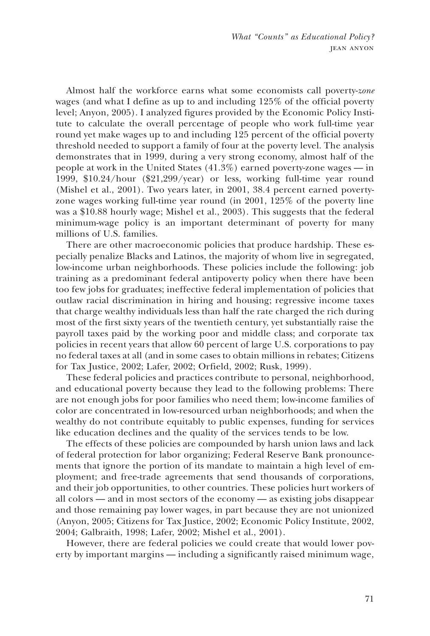Almost half the workforce earns what some economists call poverty-*zone* wages (and what I define as up to and including 125% of the official poverty level; Anyon, 2005). I analyzed figures provided by the Economic Policy Institute to calculate the overall percentage of people who work full-time year round yet make wages up to and including 125 percent of the official poverty threshold needed to support a family of four at the poverty level. The analysis demonstrates that in 1999, during a very strong economy, almost half of the people at work in the United States (41.3%) earned poverty-zone wages — in 1999, \$10.24/hour (\$21,299/year) or less, working full-time year round (Mishel et al., 2001). Two years later, in 2001, 38.4 percent earned povertyzone wages working full-time year round (in 2001, 125% of the poverty line was a \$10.88 hourly wage; Mishel et al., 2003). This suggests that the federal minimum-wage policy is an important determinant of poverty for many millions of U.S. families.

There are other macroeconomic policies that produce hardship. These especially penalize Blacks and Latinos, the majority of whom live in segregated, low-income urban neighborhoods. These policies include the following: job training as a predominant federal antipoverty policy when there have been too few jobs for graduates; ineffective federal implementation of policies that outlaw racial discrimination in hiring and housing; regressive income taxes that charge wealthy individuals less than half the rate charged the rich during most of the first sixty years of the twentieth century, yet substantially raise the payroll taxes paid by the working poor and middle class; and corporate tax policies in recent years that allow 60 percent of large U.S. corporations to pay no federal taxes at all (and in some cases to obtain millions in rebates; Citizens for Tax Justice, 2002; Lafer, 2002; Orfield, 2002; Rusk, 1999).

These federal policies and practices contribute to personal, neighborhood, and educational poverty because they lead to the following problems: There are not enough jobs for poor families who need them; low-income families of color are concentrated in low-resourced urban neighborhoods; and when the wealthy do not contribute equitably to public expenses, funding for services like education declines and the quality of the services tends to be low.

The effects of these policies are compounded by harsh union laws and lack of federal protection for labor organizing; Federal Reserve Bank pronouncements that ignore the portion of its mandate to maintain a high level of employment; and free-trade agreements that send thousands of corporations, and their job opportunities, to other countries. These policies hurt workers of all colors — and in most sectors of the economy — as existing jobs disappear and those remaining pay lower wages, in part because they are not unionized (Anyon, 2005; Citizens for Tax Justice, 2002; Economic Policy Institute, 2002, 2004; Galbraith, 1998; Lafer, 2002; Mishel et al., 2001).

However, there are federal policies we could create that would lower poverty by important margins — including a significantly raised minimum wage,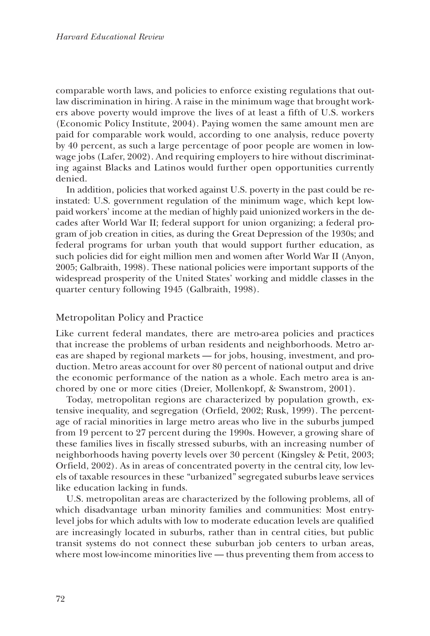comparable worth laws, and policies to enforce existing regulations that outlaw discrimination in hiring. A raise in the minimum wage that brought workers above poverty would improve the lives of at least a fifth of U.S. workers (Economic Policy Institute, 2004). Paying women the same amount men are paid for comparable work would, according to one analysis, reduce poverty by 40 percent, as such a large percentage of poor people are women in lowwage jobs (Lafer, 2002). And requiring employers to hire without discriminating against Blacks and Latinos would further open opportunities currently denied.

In addition, policies that worked against U.S. poverty in the past could be reinstated: U.S. government regulation of the minimum wage, which kept lowpaid workers' income at the median of highly paid unionized workers in the decades after World War II; federal support for union organizing; a federal program of job creation in cities, as during the Great Depression of the 1930s; and federal programs for urban youth that would support further education, as such policies did for eight million men and women after World War II (Anyon, 2005; Galbraith, 1998). These national policies were important supports of the widespread prosperity of the United States' working and middle classes in the quarter century following 1945 (Galbraith, 1998).

#### Metropolitan Policy and Practice

Like current federal mandates, there are metro-area policies and practices that increase the problems of urban residents and neighborhoods. Metro areas are shaped by regional markets — for jobs, housing, investment, and production. Metro areas account for over 80 percent of national output and drive the economic performance of the nation as a whole. Each metro area is anchored by one or more cities (Dreier, Mollenkopf, & Swanstrom, 2001).

Today, metropolitan regions are characterized by population growth, extensive inequality, and segregation (Orfield, 2002; Rusk, 1999). The percentage of racial minorities in large metro areas who live in the suburbs jumped from 19 percent to 27 percent during the 1990s. However, a growing share of these families lives in fiscally stressed suburbs, with an increasing number of neighborhoods having poverty levels over 30 percent (Kingsley & Petit, 2003; Orfield, 2002). As in areas of concentrated poverty in the central city, low levels of taxable resources in these "urbanized" segregated suburbs leave services like education lacking in funds.

U.S. metropolitan areas are characterized by the following problems, all of which disadvantage urban minority families and communities: Most entrylevel jobs for which adults with low to moderate education levels are qualified are increasingly located in suburbs, rather than in central cities, but public transit systems do not connect these suburban job centers to urban areas, where most low-income minorities live — thus preventing them from access to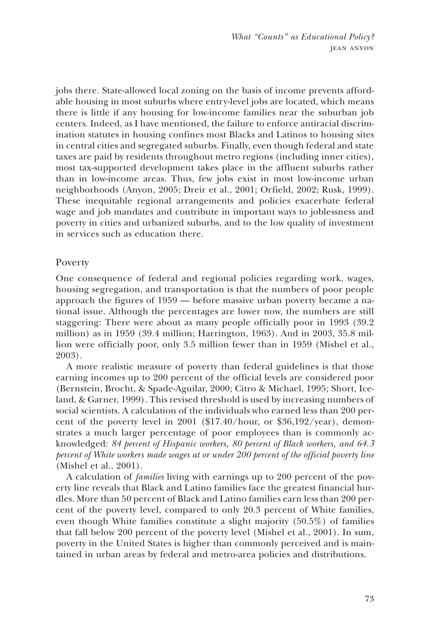jobs there. State-allowed local zoning on the basis of income prevents affordable housing in most suburbs where entry-level jobs are located, which means there is little if any housing for low-income families near the suburban job centers. Indeed, as I have mentioned, the failure to enforce antiracial discrimination statutes in housing confines most Blacks and Latinos to housing sites in central cities and segregated suburbs. Finally, even though federal and state taxes are paid by residents throughout metro regions (including inner cities), most tax-supported development takes place in the affluent suburbs rather than in low-income areas. Thus, few jobs exist in most low-income urban neighborhoods (Anyon, 2005; Dreir et al., 2001; Orfield, 2002; Rusk, 1999). These inequitable regional arrangements and policies exacerbate federal wage and job mandates and contribute in important ways to joblessness and poverty in cities and urbanized suburbs, and to the low quality of investment in services such as education there.

# Poverty

One consequence of federal and regional policies regarding work, wages, housing segregation, and transportation is that the numbers of poor people approach the figures of 1959 — before massive urban poverty became a national issue. Although the percentages are lower now, the numbers are still staggering: There were about as many people officially poor in 1993 (39.2 million) as in 1959 (39.4 million; Harrington, 1963). And in 2003, 35.8 million were officially poor, only 3.5 million fewer than in 1959 (Mishel et al., 2003).

A more realistic measure of poverty than federal guidelines is that those earning incomes up to 200 percent of the official levels are considered poor (Bernstein, Brocht, & Spade-Aguilar, 2000; Citro & Michael, 1995; Short, Iceland, & Garner, 1999). This revised threshold is used by increasing numbers of social scientists. A calculation of the individuals who earned less than 200 percent of the poverty level in 2001 (\$17.40/hour, or \$36,192/year), demonstrates a much larger percentage of poor employees than is commonly acknowledged: *84 percent of Hispanic workers, 80 percent of Black workers, and 64.3 percent of White workers made wages at or under 200 percent of the official poverty line* (Mishel et al., 2001).

A calculation of *families* living with earnings up to 200 percent of the poverty line reveals that Black and Latino families face the greatest financial hurdles. More than 50 percent of Black and Latino families earn less than 200 percent of the poverty level, compared to only 20.3 percent of White families, even though White families constitute a slight majority (50.5%) of families that fall below 200 percent of the poverty level (Mishel et al., 2001). In sum, poverty in the United States is higher than commonly perceived and is maintained in urban areas by federal and metro-area policies and distributions.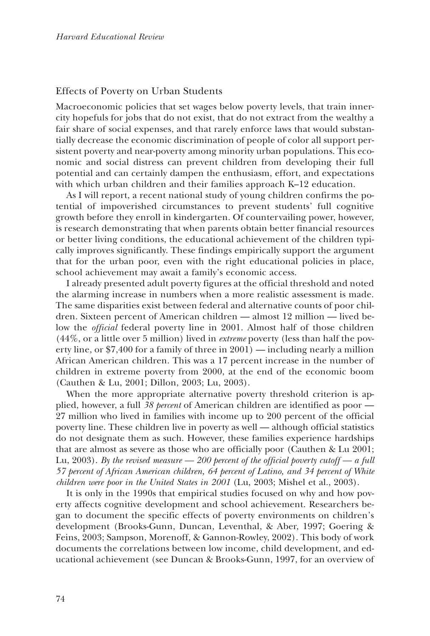## Effects of Poverty on Urban Students

Macroeconomic policies that set wages below poverty levels, that train innercity hopefuls for jobs that do not exist, that do not extract from the wealthy a fair share of social expenses, and that rarely enforce laws that would substantially decrease the economic discrimination of people of color all support persistent poverty and near-poverty among minority urban populations. This economic and social distress can prevent children from developing their full potential and can certainly dampen the enthusiasm, effort, and expectations with which urban children and their families approach K–12 education.

As I will report, a recent national study of young children confirms the potential of impoverished circumstances to prevent students' full cognitive growth before they enroll in kindergarten. Of countervailing power, however, is research demonstrating that when parents obtain better financial resources or better living conditions, the educational achievement of the children typically improves significantly. These findings empirically support the argument that for the urban poor, even with the right educational policies in place, school achievement may await a family's economic access.

I already presented adult poverty figures at the official threshold and noted the alarming increase in numbers when a more realistic assessment is made. The same disparities exist between federal and alternative counts of poor children. Sixteen percent of American children — almost 12 million — lived below the *official* federal poverty line in 2001. Almost half of those children (44%, or a little over 5 million) lived in *extreme* poverty (less than half the poverty line, or \$7,400 for a family of three in 2001) — including nearly a million African American children. This was a 17 percent increase in the number of children in extreme poverty from 2000, at the end of the economic boom (Cauthen & Lu, 2001; Dillon, 2003; Lu, 2003).

When the more appropriate alternative poverty threshold criterion is applied, however, a full *38 percent* of American children are identified as poor — 27 million who lived in families with income up to 200 percent of the official poverty line. These children live in poverty as well — although official statistics do not designate them as such. However, these families experience hardships that are almost as severe as those who are officially poor (Cauthen & Lu 2001; Lu, 2003). *By the revised measure — 200 percent of the official poverty cutoff — a full 57 percent of African American children, 64 percent of Latino, and 34 percent of White children were poor in the United States in 2001* (Lu, 2003; Mishel et al., 2003).

It is only in the 1990s that empirical studies focused on why and how poverty affects cognitive development and school achievement. Researchers began to document the specific effects of poverty environments on children's development (Brooks-Gunn, Duncan, Leventhal, & Aber, 1997; Goering & Feins, 2003; Sampson, Morenoff, & Gannon-Rowley, 2002). This body of work documents the correlations between low income, child development, and educational achievement (see Duncan & Brooks-Gunn, 1997, for an overview of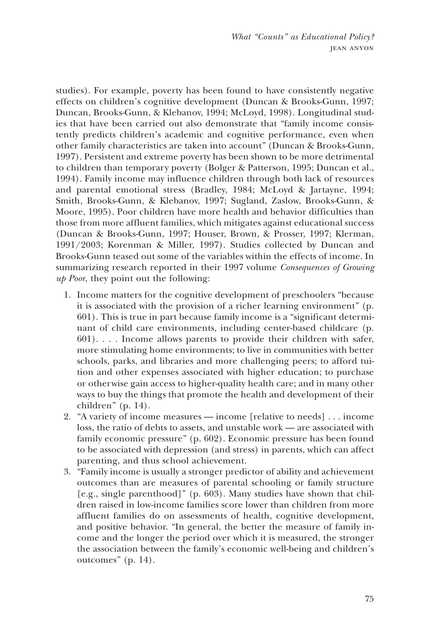studies). For example, poverty has been found to have consistently negative effects on children's cognitive development (Duncan & Brooks-Gunn, 1997; Duncan, Brooks-Gunn, & Klebanov, 1994; McLoyd, 1998). Longitudinal studies that have been carried out also demonstrate that "family income consistently predicts children's academic and cognitive performance, even when other family characteristics are taken into account" (Duncan & Brooks-Gunn, 1997). Persistent and extreme poverty has been shown to be more detrimental to children than temporary poverty (Bolger & Patterson, 1995; Duncan et al., 1994). Family income may influence children through both lack of resources and parental emotional stress (Bradley, 1984; McLoyd & Jartayne, 1994; Smith, Brooks-Gunn, & Klebanov, 1997; Sugland, Zaslow, Brooks-Gunn, & Moore, 1995). Poor children have more health and behavior difficulties than those from more affluent families, which mitigates against educational success (Duncan & Brooks-Gunn, 1997; Houser, Brown, & Prosser, 1997; Klerman, 1991/2003; Korenman & Miller, 1997). Studies collected by Duncan and Brooks-Gunn teased out some of the variables within the effects of income. In summarizing research reported in their 1997 volume *Consequences of Growing up Poor*, they point out the following:

- 1. Income matters for the cognitive development of preschoolers "because it is associated with the provision of a richer learning environment" (p. 601). This is true in part because family income is a "significant determinant of child care environments, including center-based childcare (p. 601). . . . Income allows parents to provide their children with safer, more stimulating home environments; to live in communities with better schools, parks, and libraries and more challenging peers; to afford tuition and other expenses associated with higher education; to purchase or otherwise gain access to higher-quality health care; and in many other ways to buy the things that promote the health and development of their children" (p. 14).
- 2. "A variety of income measures income [relative to needs] . . . income loss, the ratio of debts to assets, and unstable work — are associated with family economic pressure" (p. 602). Economic pressure has been found to be associated with depression (and stress) in parents, which can affect parenting, and thus school achievement.
- 3. "Family income is usually a stronger predictor of ability and achievement outcomes than are measures of parental schooling or family structure [e.g., single parenthood]" (p. 603). Many studies have shown that children raised in low-income families score lower than children from more affluent families do on assessments of health, cognitive development, and positive behavior. "In general, the better the measure of family income and the longer the period over which it is measured, the stronger the association between the family's economic well-being and children's outcomes" (p. 14).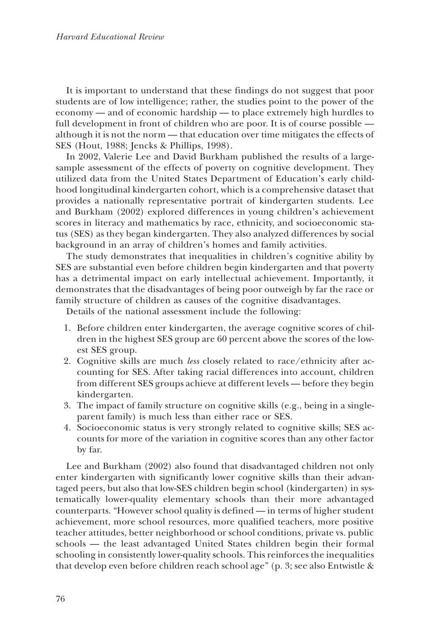It is important to understand that these findings do not suggest that poor students are of low intelligence; rather, the studies point to the power of the economy — and of economic hardship — to place extremely high hurdles to full development in front of children who are poor. It is of course possible although it is not the norm — that education over time mitigates the effects of SES (Hout, 1988; Jencks & Phillips, 1998).

In 2002, Valerie Lee and David Burkham published the results of a largesample assessment of the effects of poverty on cognitive development. They utilized data from the United States Department of Education's early childhood longitudinal kindergarten cohort, which is a comprehensive dataset that provides a nationally representative portrait of kindergarten students. Lee and Burkham (2002) explored differences in young children's achievement scores in literacy and mathematics by race, ethnicity, and socioeconomic status (SES) as they began kindergarten. They also analyzed differences by social background in an array of children's homes and family activities.

The study demonstrates that inequalities in children's cognitive ability by SES are substantial even before children begin kindergarten and that poverty has a detrimental impact on early intellectual achievement. Importantly, it demonstrates that the disadvantages of being poor outweigh by far the race or family structure of children as causes of the cognitive disadvantages.

Details of the national assessment include the following:

- 1. Before children enter kindergarten, the average cognitive scores of children in the highest SES group are 60 percent above the scores of the lowest SES group.
- 2. Cognitive skills are much *less* closely related to race/ethnicity after accounting for SES. After taking racial differences into account, children from different SES groups achieve at different levels — before they begin kindergarten.
- 3. The impact of family structure on cognitive skills (e.g., being in a singleparent family) is much less than either race or SES.
- 4. Socioeconomic status is very strongly related to cognitive skills; SES accounts for more of the variation in cognitive scores than any other factor by far.

Lee and Burkham (2002) also found that disadvantaged children not only enter kindergarten with significantly lower cognitive skills than their advantaged peers, but also that low-SES children begin school (kindergarten) in systematically lower-quality elementary schools than their more advantaged counterparts. "However school quality is defined — in terms of higher student achievement, more school resources, more qualified teachers, more positive teacher attitudes, better neighborhood or school conditions, private vs. public schools — the least advantaged United States children begin their formal schooling in consistently lower-quality schools. This reinforces the inequalities that develop even before children reach school age" (p. 3; see also Entwistle &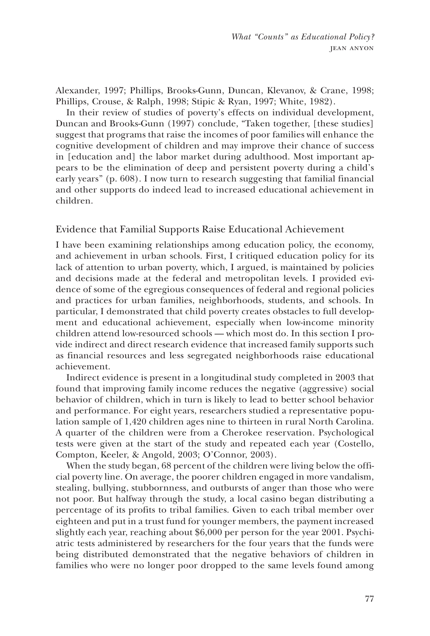Alexander, 1997; Phillips, Brooks-Gunn, Duncan, Klevanov, & Crane, 1998; Phillips, Crouse, & Ralph, 1998; Stipic & Ryan, 1997; White, 1982).

In their review of studies of poverty's effects on individual development, Duncan and Brooks-Gunn (1997) conclude, "Taken together, [these studies] suggest that programs that raise the incomes of poor families will enhance the cognitive development of children and may improve their chance of success in [education and] the labor market during adulthood. Most important appears to be the elimination of deep and persistent poverty during a child's early years" (p. 608). I now turn to research suggesting that familial financial and other supports do indeed lead to increased educational achievement in children.

# Evidence that Familial Supports Raise Educational Achievement

I have been examining relationships among education policy, the economy, and achievement in urban schools. First, I critiqued education policy for its lack of attention to urban poverty, which, I argued, is maintained by policies and decisions made at the federal and metropolitan levels. I provided evidence of some of the egregious consequences of federal and regional policies and practices for urban families, neighborhoods, students, and schools. In particular, I demonstrated that child poverty creates obstacles to full development and educational achievement, especially when low-income minority children attend low-resourced schools — which most do. In this section I provide indirect and direct research evidence that increased family supports such as financial resources and less segregated neighborhoods raise educational achievement.

Indirect evidence is present in a longitudinal study completed in 2003 that found that improving family income reduces the negative (aggressive) social behavior of children, which in turn is likely to lead to better school behavior and performance. For eight years, researchers studied a representative population sample of 1,420 children ages nine to thirteen in rural North Carolina. A quarter of the children were from a Cherokee reservation. Psychological tests were given at the start of the study and repeated each year (Costello, Compton, Keeler, & Angold, 2003; O'Connor, 2003).

When the study began, 68 percent of the children were living below the official poverty line. On average, the poorer children engaged in more vandalism, stealing, bullying, stubbornness, and outbursts of anger than those who were not poor. But halfway through the study, a local casino began distributing a percentage of its profits to tribal families. Given to each tribal member over eighteen and put in a trust fund for younger members, the payment increased slightly each year, reaching about \$6,000 per person for the year 2001. Psychiatric tests administered by researchers for the four years that the funds were being distributed demonstrated that the negative behaviors of children in families who were no longer poor dropped to the same levels found among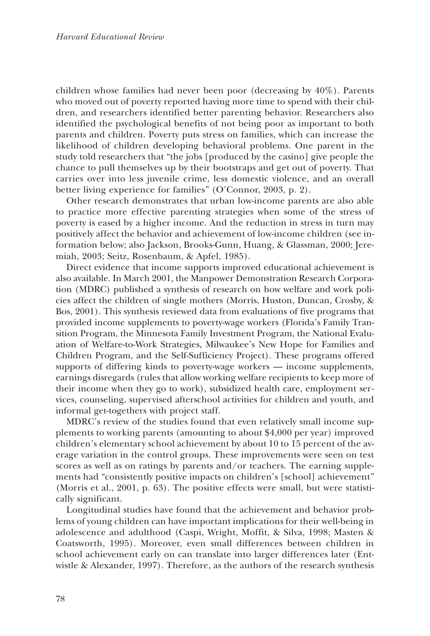children whose families had never been poor (decreasing by 40%). Parents who moved out of poverty reported having more time to spend with their children, and researchers identified better parenting behavior. Researchers also identified the psychological benefits of not being poor as important to both parents and children. Poverty puts stress on families, which can increase the likelihood of children developing behavioral problems. One parent in the study told researchers that "the jobs [produced by the casino] give people the chance to pull themselves up by their bootstraps and get out of poverty. That carries over into less juvenile crime, less domestic violence, and an overall better living experience for families" (O'Connor, 2003, p. 2).

Other research demonstrates that urban low-income parents are also able to practice more effective parenting strategies when some of the stress of poverty is eased by a higher income. And the reduction in stress in turn may positively affect the behavior and achievement of low-income children (see information below; also Jackson, Brooks-Gunn, Huang, & Glassman, 2000; Jeremiah, 2003; Seitz, Rosenbaum, & Apfel, 1985).

Direct evidence that income supports improved educational achievement is also available. In March 2001, the Manpower Demonstration Research Corporation (MDRC) published a synthesis of research on how welfare and work policies affect the children of single mothers (Morris, Huston, Duncan, Crosby, & Bos, 2001). This synthesis reviewed data from evaluations of five programs that provided income supplements to poverty-wage workers (Florida's Family Transition Program, the Minnesota Family Investment Program, the National Evaluation of Welfare-to-Work Strategies, Milwaukee's New Hope for Families and Children Program, and the Self-Sufficiency Project). These programs offered supports of differing kinds to poverty-wage workers — income supplements, earnings disregards (rules that allow working welfare recipients to keep more of their income when they go to work), subsidized health care, employment services, counseling, supervised afterschool activities for children and youth, and informal get-togethers with project staff.

MDRC's review of the studies found that even relatively small income supplements to working parents (amounting to about \$4,000 per year) improved children's elementary school achievement by about 10 to 15 percent of the average variation in the control groups. These improvements were seen on test scores as well as on ratings by parents and/or teachers. The earning supplements had "consistently positive impacts on children's [school] achievement" (Morris et al., 2001, p. 63). The positive effects were small, but were statistically significant.

Longitudinal studies have found that the achievement and behavior problems of young children can have important implications for their well-being in adolescence and adulthood (Caspi, Wright, Moffit, & Silva, 1998; Masten & Coatsworth, 1995). Moreover, even small differences between children in school achievement early on can translate into larger differences later (Entwistle & Alexander, 1997). Therefore, as the authors of the research synthesis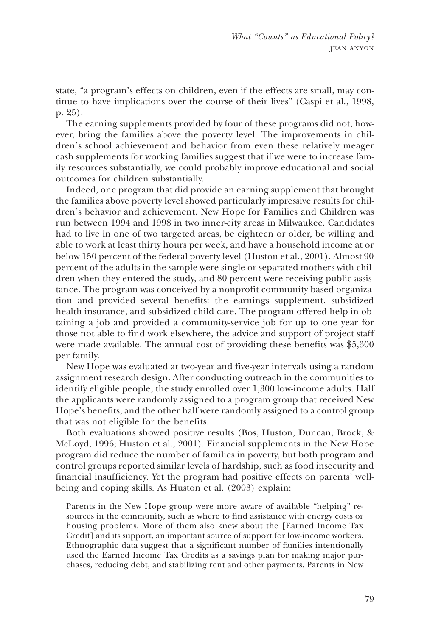state, "a program's effects on children, even if the effects are small, may continue to have implications over the course of their lives" (Caspi et al., 1998, p. 25).

The earning supplements provided by four of these programs did not, however, bring the families above the poverty level. The improvements in children's school achievement and behavior from even these relatively meager cash supplements for working families suggest that if we were to increase family resources substantially, we could probably improve educational and social outcomes for children substantially.

Indeed, one program that did provide an earning supplement that brought the families above poverty level showed particularly impressive results for children's behavior and achievement. New Hope for Families and Children was run between 1994 and 1998 in two inner-city areas in Milwaukee. Candidates had to live in one of two targeted areas, be eighteen or older, be willing and able to work at least thirty hours per week, and have a household income at or below 150 percent of the federal poverty level (Huston et al., 2001). Almost 90 percent of the adults in the sample were single or separated mothers with children when they entered the study, and 80 percent were receiving public assistance. The program was conceived by a nonprofit community-based organization and provided several benefits: the earnings supplement, subsidized health insurance, and subsidized child care. The program offered help in obtaining a job and provided a community-service job for up to one year for those not able to find work elsewhere, the advice and support of project staff were made available. The annual cost of providing these benefits was \$5,300 per family.

New Hope was evaluated at two-year and five-year intervals using a random assignment research design. After conducting outreach in the communities to identify eligible people, the study enrolled over 1,300 low-income adults. Half the applicants were randomly assigned to a program group that received New Hope's benefits, and the other half were randomly assigned to a control group that was not eligible for the benefits.

Both evaluations showed positive results (Bos, Huston, Duncan, Brock, & McLoyd, 1996; Huston et al., 2001). Financial supplements in the New Hope program did reduce the number of families in poverty, but both program and control groups reported similar levels of hardship, such as food insecurity and financial insufficiency. Yet the program had positive effects on parents' wellbeing and coping skills. As Huston et al. (2003) explain:

Parents in the New Hope group were more aware of available "helping" resources in the community, such as where to find assistance with energy costs or housing problems. More of them also knew about the [Earned Income Tax Credit] and its support, an important source of support for low-income workers. Ethnographic data suggest that a significant number of families intentionally used the Earned Income Tax Credits as a savings plan for making major purchases, reducing debt, and stabilizing rent and other payments. Parents in New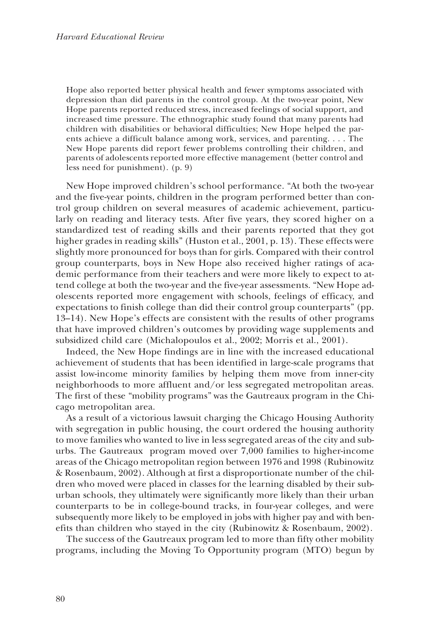Hope also reported better physical health and fewer symptoms associated with depression than did parents in the control group. At the two-year point, New Hope parents reported reduced stress, increased feelings of social support, and increased time pressure. The ethnographic study found that many parents had children with disabilities or behavioral difficulties; New Hope helped the parents achieve a difficult balance among work, services, and parenting. . . . The New Hope parents did report fewer problems controlling their children, and parents of adolescents reported more effective management (better control and less need for punishment). (p. 9)

New Hope improved children's school performance. "At both the two-year and the five-year points, children in the program performed better than control group children on several measures of academic achievement, particularly on reading and literacy tests. After five years, they scored higher on a standardized test of reading skills and their parents reported that they got higher grades in reading skills" (Huston et al., 2001, p. 13). These effects were slightly more pronounced for boys than for girls. Compared with their control group counterparts, boys in New Hope also received higher ratings of academic performance from their teachers and were more likely to expect to attend college at both the two-year and the five-year assessments. "New Hope adolescents reported more engagement with schools, feelings of efficacy, and expectations to finish college than did their control group counterparts" (pp. 13–14). New Hope's effects are consistent with the results of other programs that have improved children's outcomes by providing wage supplements and subsidized child care (Michalopoulos et al., 2002; Morris et al., 2001).

Indeed, the New Hope findings are in line with the increased educational achievement of students that has been identified in large-scale programs that assist low-income minority families by helping them move from inner-city neighborhoods to more affluent and/or less segregated metropolitan areas. The first of these "mobility programs" was the Gautreaux program in the Chicago metropolitan area.

As a result of a victorious lawsuit charging the Chicago Housing Authority with segregation in public housing, the court ordered the housing authority to move families who wanted to live in less segregated areas of the city and suburbs. The Gautreaux program moved over 7,000 families to higher-income areas of the Chicago metropolitan region between 1976 and 1998 (Rubinowitz & Rosenbaum, 2002). Although at first a disproportionate number of the children who moved were placed in classes for the learning disabled by their suburban schools, they ultimately were significantly more likely than their urban counterparts to be in college-bound tracks, in four-year colleges, and were subsequently more likely to be employed in jobs with higher pay and with benefits than children who stayed in the city (Rubinowitz & Rosenbaum, 2002).

The success of the Gautreaux program led to more than fifty other mobility programs, including the Moving To Opportunity program (MTO) begun by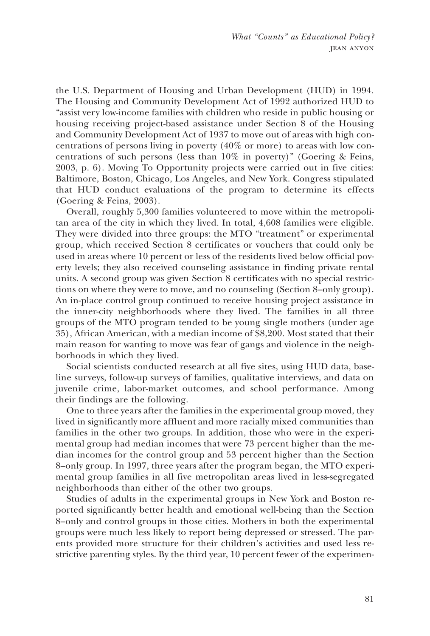the U.S. Department of Housing and Urban Development (HUD) in 1994. The Housing and Community Development Act of 1992 authorized HUD to "assist very low-income families with children who reside in public housing or housing receiving project-based assistance under Section 8 of the Housing and Community Development Act of 1937 to move out of areas with high concentrations of persons living in poverty (40% or more) to areas with low concentrations of such persons (less than 10% in poverty)" (Goering & Feins, 2003, p. 6). Moving To Opportunity projects were carried out in five cities: Baltimore, Boston, Chicago, Los Angeles, and New York. Congress stipulated that HUD conduct evaluations of the program to determine its effects (Goering & Feins, 2003).

Overall, roughly 5,300 families volunteered to move within the metropolitan area of the city in which they lived. In total, 4,608 families were eligible. They were divided into three groups: the MTO "treatment" or experimental group, which received Section 8 certificates or vouchers that could only be used in areas where 10 percent or less of the residents lived below official poverty levels; they also received counseling assistance in finding private rental units. A second group was given Section 8 certificates with no special restrictions on where they were to move, and no counseling (Section 8–only group). An in-place control group continued to receive housing project assistance in the inner-city neighborhoods where they lived. The families in all three groups of the MTO program tended to be young single mothers (under age 35), African American, with a median income of \$8,200. Most stated that their main reason for wanting to move was fear of gangs and violence in the neighborhoods in which they lived.

Social scientists conducted research at all five sites, using HUD data, baseline surveys, follow-up surveys of families, qualitative interviews, and data on juvenile crime, labor-market outcomes, and school performance. Among their findings are the following.

One to three years after the families in the experimental group moved, they lived in significantly more affluent and more racially mixed communities than families in the other two groups. In addition, those who were in the experimental group had median incomes that were 73 percent higher than the median incomes for the control group and 53 percent higher than the Section 8–only group. In 1997, three years after the program began, the MTO experimental group families in all five metropolitan areas lived in less-segregated neighborhoods than either of the other two groups.

Studies of adults in the experimental groups in New York and Boston reported significantly better health and emotional well-being than the Section 8–only and control groups in those cities. Mothers in both the experimental groups were much less likely to report being depressed or stressed. The parents provided more structure for their children's activities and used less restrictive parenting styles. By the third year, 10 percent fewer of the experimen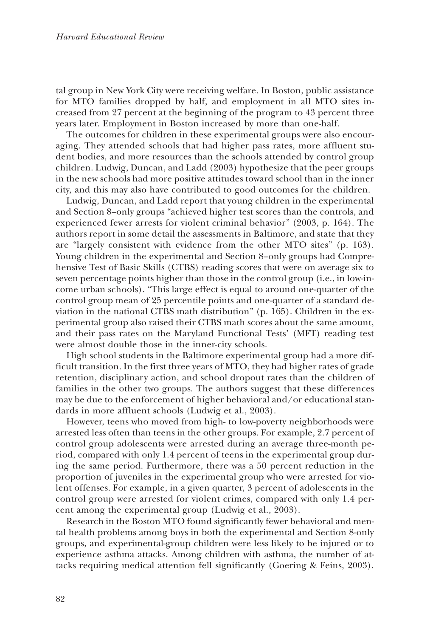tal group in New York City were receiving welfare. In Boston, public assistance for MTO families dropped by half, and employment in all MTO sites increased from 27 percent at the beginning of the program to 43 percent three years later. Employment in Boston increased by more than one-half.

The outcomes for children in these experimental groups were also encouraging. They attended schools that had higher pass rates, more affluent student bodies, and more resources than the schools attended by control group children. Ludwig, Duncan, and Ladd (2003) hypothesize that the peer groups in the new schools had more positive attitudes toward school than in the inner city, and this may also have contributed to good outcomes for the children.

Ludwig, Duncan, and Ladd report that young children in the experimental and Section 8–only groups "achieved higher test scores than the controls, and experienced fewer arrests for violent criminal behavior" (2003, p. 164). The authors report in some detail the assessments in Baltimore, and state that they are "largely consistent with evidence from the other MTO sites" (p. 163). Young children in the experimental and Section 8–only groups had Comprehensive Test of Basic Skills (CTBS) reading scores that were on average six to seven percentage points higher than those in the control group (i.e., in low-income urban schools). "This large effect is equal to around one-quarter of the control group mean of 25 percentile points and one-quarter of a standard deviation in the national CTBS math distribution" (p. 165). Children in the experimental group also raised their CTBS math scores about the same amount, and their pass rates on the Maryland Functional Tests' (MFT) reading test were almost double those in the inner-city schools.

High school students in the Baltimore experimental group had a more difficult transition. In the first three years of MTO, they had higher rates of grade retention, disciplinary action, and school dropout rates than the children of families in the other two groups. The authors suggest that these differences may be due to the enforcement of higher behavioral and/or educational standards in more affluent schools (Ludwig et al., 2003).

However, teens who moved from high- to low-poverty neighborhoods were arrested less often than teens in the other groups. For example, 2.7 percent of control group adolescents were arrested during an average three-month period, compared with only 1.4 percent of teens in the experimental group during the same period. Furthermore, there was a 50 percent reduction in the proportion of juveniles in the experimental group who were arrested for violent offenses. For example, in a given quarter, 3 percent of adolescents in the control group were arrested for violent crimes, compared with only 1.4 percent among the experimental group (Ludwig et al., 2003).

Research in the Boston MTO found significantly fewer behavioral and mental health problems among boys in both the experimental and Section 8-only groups, and experimental-group children were less likely to be injured or to experience asthma attacks. Among children with asthma, the number of attacks requiring medical attention fell significantly (Goering & Feins, 2003).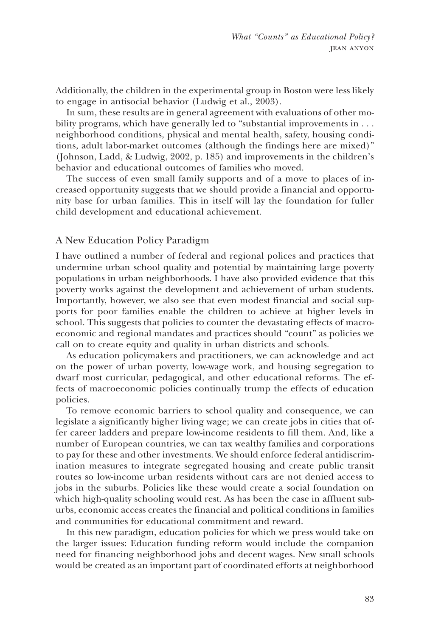Additionally, the children in the experimental group in Boston were less likely to engage in antisocial behavior (Ludwig et al., 2003).

In sum, these results are in general agreement with evaluations of other mobility programs, which have generally led to "substantial improvements in . . . neighborhood conditions, physical and mental health, safety, housing conditions, adult labor-market outcomes (although the findings here are mixed)" (Johnson, Ladd, & Ludwig, 2002, p. 185) and improvements in the children's behavior and educational outcomes of families who moved.

The success of even small family supports and of a move to places of increased opportunity suggests that we should provide a financial and opportunity base for urban families. This in itself will lay the foundation for fuller child development and educational achievement.

## A New Education Policy Paradigm

I have outlined a number of federal and regional polices and practices that undermine urban school quality and potential by maintaining large poverty populations in urban neighborhoods. I have also provided evidence that this poverty works against the development and achievement of urban students. Importantly, however, we also see that even modest financial and social supports for poor families enable the children to achieve at higher levels in school. This suggests that policies to counter the devastating effects of macroeconomic and regional mandates and practices should "count" as policies we call on to create equity and quality in urban districts and schools.

As education policymakers and practitioners, we can acknowledge and act on the power of urban poverty, low-wage work, and housing segregation to dwarf most curricular, pedagogical, and other educational reforms. The effects of macroeconomic policies continually trump the effects of education policies.

To remove economic barriers to school quality and consequence, we can legislate a significantly higher living wage; we can create jobs in cities that offer career ladders and prepare low-income residents to fill them. And, like a number of European countries, we can tax wealthy families and corporations to pay for these and other investments. We should enforce federal antidiscrimination measures to integrate segregated housing and create public transit routes so low-income urban residents without cars are not denied access to jobs in the suburbs. Policies like these would create a social foundation on which high-quality schooling would rest. As has been the case in affluent suburbs, economic access creates the financial and political conditions in families and communities for educational commitment and reward.

In this new paradigm, education policies for which we press would take on the larger issues: Education funding reform would include the companion need for financing neighborhood jobs and decent wages. New small schools would be created as an important part of coordinated efforts at neighborhood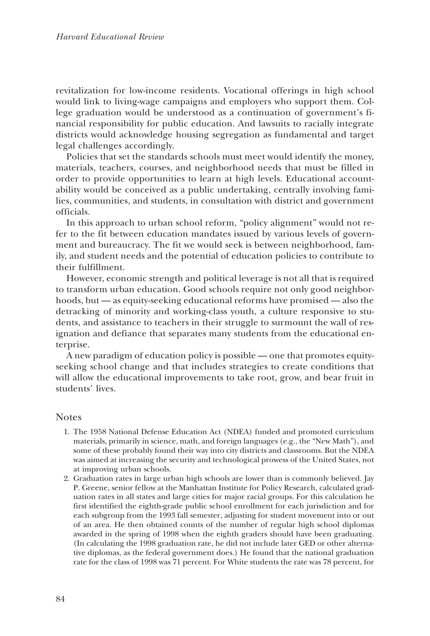revitalization for low-income residents. Vocational offerings in high school would link to living-wage campaigns and employers who support them. College graduation would be understood as a continuation of government's financial responsibility for public education. And lawsuits to racially integrate districts would acknowledge housing segregation as fundamental and target legal challenges accordingly.

Policies that set the standards schools must meet would identify the money, materials, teachers, courses, and neighborhood needs that must be filled in order to provide opportunities to learn at high levels. Educational accountability would be conceived as a public undertaking, centrally involving families, communities, and students, in consultation with district and government officials.

In this approach to urban school reform, "policy alignment" would not refer to the fit between education mandates issued by various levels of government and bureaucracy. The fit we would seek is between neighborhood, family, and student needs and the potential of education policies to contribute to their fulfillment.

However, economic strength and political leverage is not all that is required to transform urban education. Good schools require not only good neighborhoods, but — as equity-seeking educational reforms have promised — also the detracking of minority and working-class youth, a culture responsive to students, and assistance to teachers in their struggle to surmount the wall of resignation and defiance that separates many students from the educational enterprise.

A new paradigm of education policy is possible — one that promotes equityseeking school change and that includes strategies to create conditions that will allow the educational improvements to take root, grow, and bear fruit in students' lives.

#### **Notes**

- 1. The 1958 National Defense Education Act (NDEA) funded and promoted curriculum materials, primarily in science, math, and foreign languages (e.g., the "New Math"), and some of these probably found their way into city districts and classrooms. But the NDEA was aimed at increasing the security and technological prowess of the United States, not at improving urban schools.
- 2. Graduation rates in large urban high schools are lower than is commonly believed. Jay P. Greene, senior fellow at the Manhattan Institute for Policy Research, calculated graduation rates in all states and large cities for major racial groups. For this calculation he first identified the eighth-grade public school enrollment for each jurisdiction and for each subgroup from the 1993 fall semester, adjusting for student movement into or out of an area. He then obtained counts of the number of regular high school diplomas awarded in the spring of 1998 when the eighth graders should have been graduating. (In calculating the 1998 graduation rate, he did not include later GED or other alternative diplomas, as the federal government does.) He found that the national graduation rate for the class of 1998 was 71 percent. For White students the rate was 78 percent, for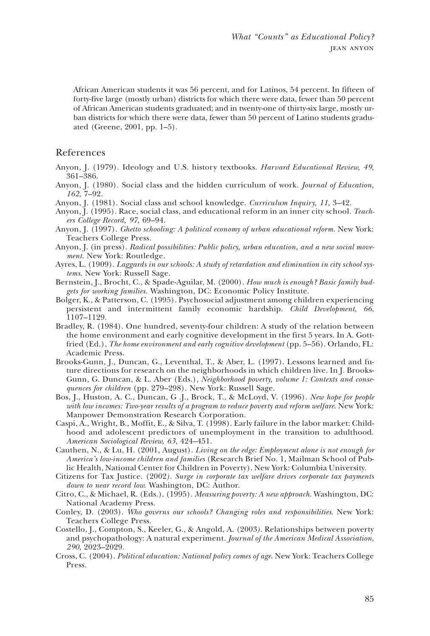African American students it was 56 percent, and for Latinos, 54 percent. In fifteen of forty-five large (mostly urban) districts for which there were data, fewer than 50 percent of African American students graduated; and in twenty-one of thirty-six large, mostly urban districts for which there were data, fewer than 50 percent of Latino students graduated (Greene, 2001, pp. 1–5).

#### References

- Anyon, J. (1979). Ideology and U.S. history textbooks. *Harvard Educational Review, 49*, 361–386.
- Anyon, J. (1980). Social class and the hidden curriculum of work. *Journal of Education, 162*, 7–92.
- Anyon, J. (1981). Social class and school knowledge. *Curriculum Inquiry, 11*, 3–42.
- Anyon, J. (1995). Race, social class, and educational reform in an inner city school. *Teachers College Record, 97,* 69–94.
- Anyon, J. (1997). *Ghetto schooling: A political economy of urban educational reform*. New York: Teachers College Press.
- Anyon, J. (in press). *Radical possibilities: Public policy, urban education, and a new social movement*. New York: Routledge*.*
- Ayres, L. (1909). *Laggards in our schools: A study of retardation and elimination in city school systems*. New York: Russell Sage.
- Bernstein, J., Brocht, C., & Spade-Aguilar, M. (2000). *How much is enough? Basic family budgets for working families.* Washington, DC: Economic Policy Institute.
- Bolger, K., & Patterson, C. (1995). Psychosocial adjustment among children experiencing persistent and intermittent family economic hardship. *Child Development*, *66*, 1107–1129.
- Bradley, R. (1984). One hundred, seventy-four children: A study of the relation between the home environment and early cognitive development in the first 5 years. In A. Gottfried (Ed.), *The home environment and early cognitive development* (pp. 5–56). Orlando, FL: Academic Press.
- Brooks-Gunn, J., Duncan, G., Leventhal, T., & Aber, L. (1997). Lessons learned and future directions for research on the neighborhoods in which children live. In J. Brooks-Gunn, G. Duncan, & L. Aber (Eds.), *Neighborhood poverty, volume 1: Contexts and consequences for children* (pp. 279–298). New York: Russell Sage.
- Bos, J., Huston, A. C., Duncan, G .J., Brock, T., & McLoyd, V. (1996). *New hope for people with low incomes: Two-year results of a program to reduce poverty and reform welfare*. New York: Manpower Demonstration Research Corporation.
- Caspi, A., Wright, B., Moffit, E., & Silva, T. (1998). Early failure in the labor market: Childhood and adolescent predictors of unemployment in the transition to adulthood. *American Sociological Review*, *63*, 424–451.
- Cauthen, N., & Lu, H. (2001, August). *Living on the edge: Employment alone is not enough for America's low-income children and families* (Research Brief No. 1, Mailman School of Public Health, National Center for Children in Poverty). New York: Columbia University.
- Citizens for Tax Justice. (2002*). Surge in corporate tax welfare drives corporate tax payments down to near record low.* Washington, DC: Author.
- Citro, C., & Michael, R. (Eds.). (1995). *Measuring poverty: A new approach*. Washington, DC: National Academy Press.
- Conley, D. (2003). *Who governs our schools? Changing roles and responsibilities*. New York: Teachers College Press.
- Costello, J., Compton, S., Keeler, G., & Angold, A. (2003*).* Relationships between poverty and psychopathology: A natural experiment*. Journal of the American Medical Association*, *290*, 2023–2029.
- Cross, C. (2004). *Political education: National policy comes of age*. New York: Teachers College Press.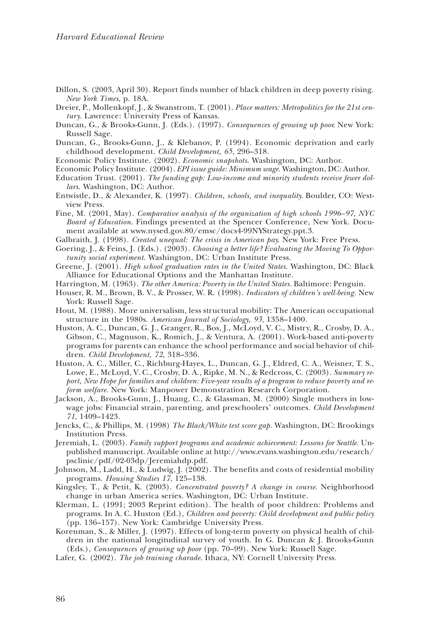- Dillon, S. (2003, April 30). Report finds number of black children in deep poverty rising. *New York Times*, p. 18A.
- Dreier, P., Mollenkopf, J., & Swanstrom, T. (2001). *Place matters: Metropolitics for the 21st century.* Lawrence: University Press of Kansas.
- Duncan, G., & Brooks-Gunn, J. (Eds.). (1997). *Consequences of growing up poor*. New York: Russell Sage.
- Duncan, G., Brooks-Gunn, J., & Klebanov, P. (1994). Economic deprivation and early childhood development. *Child Development, 65*, 296–318.

Economic Policy Institute. (2002). *Economic snapshots*. Washington, DC: Author.

- Economic Policy Institute. (2004). *EPI issue guide: Minimum wage*. Washington, DC: Author.
- Education Trust. (2001). *The funding gap: Low-income and minority students receive fewer dollars*. Washington, DC: Author.
- Entwistle, D., & Alexander, K. (1997). *Children, schools, and inequality*. Boulder, CO: Westview Press.
- Fine, M. (2001, May). *Comparative analysis of the organization of high schools 1996–97, NYC Board of Education*. Findings presented at the Spencer Conference, New York. Document available at www.nysed.gov.80/emsc/docs4-99NYStrategy.ppt.3.
- Galbraith, J. (1998). *Created unequal: The crisis in American pay*. New York: Free Press.
- Goering, J., & Feins, J. (Eds.). (2003). *Choosing a better life? Evaluating the Moving To Opportunity social experiment*. Washington, DC: Urban Institute Press.
- Greene, J. (2001). *High school graduation rates in the United States*. Washington, DC: Black Alliance for Educational Options and the Manhattan Institute.
- Harrington, M. (1963). *The other America: Poverty in the United States.* Baltimore: Penguin.
- Houser, R. M., Brown, B. V., & Prosser, W. R. (1998). *Indicators of children's well-being.* New York: Russell Sage.
- Hout, M. (1988). More universalism, less structural mobility: The American occupational structure in the 1980s. *American Journal of Sociology, 93*, 1358–1400.
- Huston, A. C., Duncan, G. J., Granger, R., Bos, J., McLoyd, V. C., Mistry, R., Crosby, D. A., Gibson, C., Magnuson, K., Romich, J., & Ventura, A. (2001). Work-based anti-poverty programs for parents can enhance the school performance and social behavior of children. *Child Development, 72*, 318–336.
- Huston, A. C., Miller, C., Richburg-Hayes, L., Duncan, G. J., Eldred, C. A., Weisner, T. S., Lowe, E., McLoyd, V. C., Crosby, D. A., Ripke, M. N., & Redcross, C. (2003). *Summary report, New Hope for families and children: Five-year results of a program to reduce poverty and reform welfare*. New York: Manpower Demonstration Research Corporation.
- Jackson, A., Brooks-Gunn, J., Huang, C., & Glassman, M. (2000) Single mothers in lowwage jobs: Financial strain, parenting, and preschoolers' outcomes. *Child Development 71*, 1409–1423.
- Jencks, C., & Phillips, M. (1998) *The Black/White test score gap.* Washington, DC: Brookings Institution Press.
- Jeremiah, L. (2003). *Family support programs and academic achievement: Lessons for Seattle.* Unpublished manuscript. Available online at http://www.evans.washington.edu/research/ psclinic/pdf/02-03dp/Jeremiahdp.pdf.
- Johnson, M., Ladd, H., & Ludwig, J. (2002). The benefits and costs of residential mobility programs. *Housing Studies 17*, 125–138.
- Kingsley, T., & Petit, K. (2003). *Concentrated poverty? A change in course*. Neighborhood change in urban America series. Washington, DC: Urban Institute.
- Klerman, L. (1991; 2003 Reprint edition). The health of poor children: Problems and programs. In A. C. Huston (Ed.), *Children and poverty: Child development and public policy* (pp. 136–157). New York: Cambridge University Press.
- Korenman, S., & Miller, J. (1997). Effects of long-term poverty on physical health of children in the national longitudinal survey of youth. In G. Duncan & J. Brooks-Gunn (Eds.), *Consequences of growing up poor* (pp. 70–99). New York: Russell Sage.
- Lafer, G. (2002). *The job training charade*. Ithaca, NY: Cornell University Press.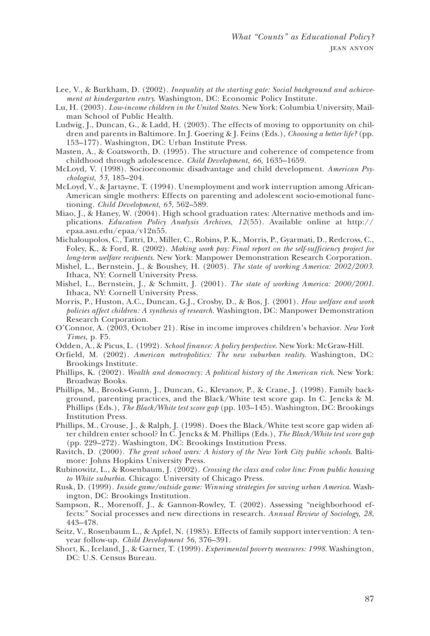- Lee, V., & Burkham, D. (2002). *Inequality at the starting gate: Social background and achievement at kindergarten entry*. Washington, DC: Economic Policy Institute.
- Lu, H. (2003). *Low-income children in the United States*. New York: Columbia University, Mailman School of Public Health.
- Ludwig, J., Duncan, G., & Ladd, H. (2003). The effects of moving to opportunity on children and parents in Baltimore. In J. Goering & J. Feins (Eds.), *Choosing a better life?* (pp. 153–177). Washington, DC: Urban Institute Press.
- Masten, A., & Coatsworth, D. (1995). The structure and coherence of competence from childhood through adolescence. *Child Development*, *66*, 1635–1659.
- McLoyd, V. (1998). Socioeconomic disadvantage and child development. *American Psychologist*, *53,* 185–204.
- McLoyd, V., & Jartayne, T. (1994). Unemployment and work interruption among African-American single mothers: Effects on parenting and adolescent socio-emotional functioning. *Child Development*, *65*, 562–589.
- Miao, J., & Haney, W. (2004). High school graduation rates: Alternative methods and implications. *Education Policy Analysis Archives*, *12*(55). Available online at http:// epaa.asu.edu/epaa/v12n55.
- Michaloupolos, C., Tattri, D., Miller, C., Robins, P. K., Morris, P., Gyarmati, D., Redcross, C., Foley, K., & Ford, R. (2002). *Making work pay: Final report on the self-sufficiency project for long-term welfare recipients*. New York: Manpower Demonstration Research Corporation.
- Mishel, L., Bernstein, J., & Boushey, H. (2003). *The state of working America: 2002/2003*. Ithaca, NY: Cornell University Press.
- Mishel, L., Bernstein, J., & Schmitt, J. (2001). *The state of working America: 2000/2001*. Ithaca, NY: Cornell University Press.
- Morris, P., Huston, A.C., Duncan, G.J., Crosby, D., & Bos, J. (2001). *How welfare and work policies affect children: A synthesis of research*. Washington, DC: Manpower Demonstration Research Corporation.
- O'Connor, A. (2003, October 21). Rise in income improves children's behavior. *New York Times,* p. F5.
- Odden, A., & Picus, L. (1992). *School finance: A policy perspective*. New York: McGraw-Hill.
- Orfield, M. (2002). *American metropolitics: The new suburban reality.* Washington, DC: Brookings Institute.
- Phillips, K. (2002). *Wealth and democracy: A political history of the American rich*. New York: Broadway Books.
- Phillips, M., Brooks-Gunn, J., Duncan, G., Klevanov, P., & Crane, J. (1998). Family background, parenting practices, and the Black/White test score gap. In C. Jencks & M. Phillips (Eds.), *The Black/White test score gap* (pp. 103–145). Washington, DC: Brookings Institution Press.
- Phillips, M., Crouse, J., & Ralph, J. (1998). Does the Black/White test score gap widen after children enter school? In C. Jencks & M. Phillips (Eds.), *The Black/White test score gap* (pp. 229–272). Washington, DC: Brookings Institution Press.
- Ravitch, D. (2000). *The great school wars: A history of the New York City public schools*. Baltimore: Johns Hopkins University Press.
- Rubinowitz, L., & Rosenbaum, J. (2002). *Crossing the class and color line: From public housing to White suburbia*. Chicago: University of Chicago Press.
- Rusk, D. (1999). *Inside game/outside game: Winning strategies for saving urban America*. Washington, DC: Brookings Institution.
- Sampson, R., Morenoff, J., & Gannon-Rowley, T. (2002). Assessing "neighborhood effects:" Social processes and new directions in research*. Annual Review of Sociology, 28*, 443–478.
- Seitz, V., Rosenbaum L., & Apfel, N. (1985). Effects of family support intervention: A tenyear follow-up. *Child Development 56*, 376–391.
- Short, K., Iceland, J., & Garner, T. (1999). *Experimental poverty measures: 1998*. Washington, DC: U.S. Census Bureau.